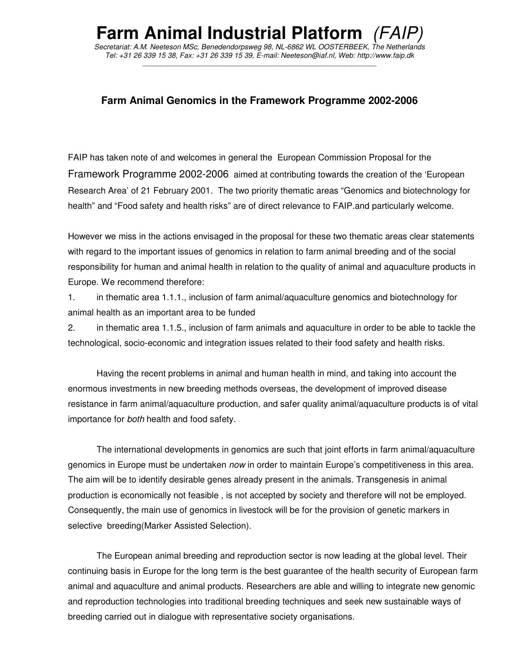# **Farm Animal Industrial Platform**

*Secretariat: A.M. Neeteson MSc, Benedendorpsweg 98, NL-6862 WL OOSTERBEEK, The Netherlands Tel: +31 26 339 15 38, Fax: +31 26 339 15 39, E-mail: Neeteson@iaf.nl, Web: http://www.faip.dk*  \_\_\_\_\_\_\_\_\_\_\_\_\_\_\_\_\_\_\_\_\_\_\_\_\_\_\_\_\_\_\_\_\_\_\_\_\_\_\_\_\_\_\_\_\_\_\_\_\_\_\_\_\_\_\_\_\_\_\_\_\_\_\_\_\_\_

# **Farm Animal Genomics in the Framework Programme 2002-2006**

FAIP has taken note of and welcomes in general the European Commission Proposal for the Framework Programme 2002-2006 aimed at contributing towards the creation of the 'European Research Area' of 21 February 2001. The two priority thematic areas "Genomics and biotechnology for health" and "Food safety and health risks" are of direct relevance to FAIP.and particularly welcome.

However we miss in the actions envisaged in the proposal for these two thematic areas clear statements with regard to the important issues of genomics in relation to farm animal breeding and of the social responsibility for human and animal health in relation to the quality of animal and aquaculture products in Europe. We recommend therefore:

1. in thematic area 1.1.1., inclusion of farm animal/aquaculture genomics and biotechnology for animal health as an important area to be funded

2. in thematic area 1.1.5., inclusion of farm animals and aquaculture in order to be able to tackle the technological, socio-economic and integration issues related to their food safety and health risks.

Having the recent problems in animal and human health in mind, and taking into account the enormous investments in new breeding methods overseas, the development of improved disease resistance in farm animal/aquaculture production, and safer quality animal/aquaculture products is of vital importance for *both* health and food safety.

The international developments in genomics are such that joint efforts in farm animal/aquaculture genomics in Europe must be undertaken *now* in order to maintain Europe's competitiveness in this area. The aim will be to identify desirable genes already present in the animals. Transgenesis in animal production is economically not feasible , is not accepted by society and therefore will not be employed. Consequently, the main use of genomics in livestock will be for the provision of genetic markers in selective breeding(Marker Assisted Selection).

The European animal breeding and reproduction sector is now leading at the global level. Their continuing basis in Europe for the long term is the best guarantee of the health security of European farm animal and aquaculture and animal products. Researchers are able and willing to integrate new genomic and reproduction technologies into traditional breeding techniques and seek new sustainable ways of breeding carried out in dialogue with representative society organisations.